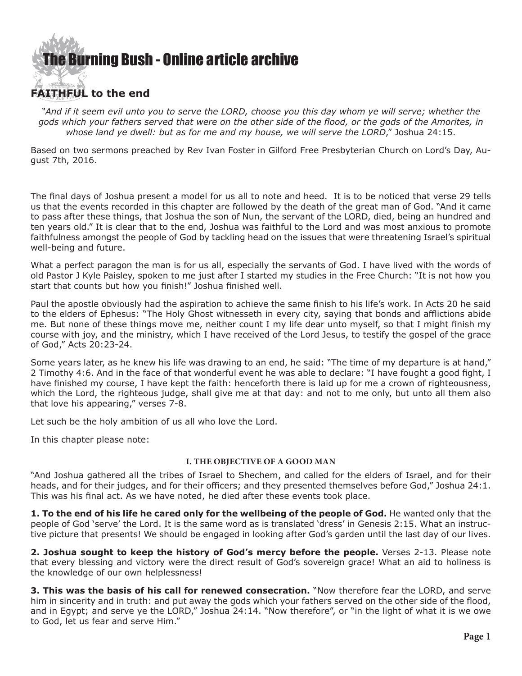

# **FAITHFUL to the end**

*"And if it seem evil unto you to serve the LORD, choose you this day whom ye will serve; whether the gods which your fathers served that were on the other side of the flood, or the gods of the Amorites, in whose land ye dwell: but as for me and my house, we will serve the LORD*," Joshua 24:15.

Based on two sermons preached by Rev Ivan Foster in Gilford Free Presbyterian Church on Lord's Day, August 7th, 2016.

The final days of Joshua present a model for us all to note and heed. It is to be noticed that verse 29 tells us that the events recorded in this chapter are followed by the death of the great man of God. "And it came to pass after these things, that Joshua the son of Nun, the servant of the LORD, died, being an hundred and ten years old." It is clear that to the end, Joshua was faithful to the Lord and was most anxious to promote faithfulness amongst the people of God by tackling head on the issues that were threatening Israel's spiritual well-being and future.

What a perfect paragon the man is for us all, especially the servants of God. I have lived with the words of old Pastor J Kyle Paisley, spoken to me just after I started my studies in the Free Church: "It is not how you start that counts but how you finish!" Joshua finished well.

Paul the apostle obviously had the aspiration to achieve the same finish to his life's work. In Acts 20 he said to the elders of Ephesus: "The Holy Ghost witnesseth in every city, saying that bonds and afflictions abide me. But none of these things move me, neither count I my life dear unto myself, so that I might finish my course with joy, and the ministry, which I have received of the Lord Jesus, to testify the gospel of the grace of God," Acts 20:23-24.

Some years later, as he knew his life was drawing to an end, he said: "The time of my departure is at hand," 2 Timothy 4:6. And in the face of that wonderful event he was able to declare: "I have fought a good fight, I have finished my course, I have kept the faith: henceforth there is laid up for me a crown of righteousness, which the Lord, the righteous judge, shall give me at that day: and not to me only, but unto all them also that love his appearing," verses 7-8.

Let such be the holy ambition of us all who love the Lord.

In this chapter please note:

### **I. THE OBJECTIVE OF A GOOD MAN**

"And Joshua gathered all the tribes of Israel to Shechem, and called for the elders of Israel, and for their heads, and for their judges, and for their officers; and they presented themselves before God," Joshua 24:1. This was his final act. As we have noted, he died after these events took place.

**1. To the end of his life he cared only for the wellbeing of the people of God.** He wanted only that the people of God 'serve' the Lord. It is the same word as is translated 'dress' in Genesis 2:15. What an instructive picture that presents! We should be engaged in looking after God's garden until the last day of our lives.

**2. Joshua sought to keep the history of God's mercy before the people.** Verses 2-13. Please note that every blessing and victory were the direct result of God's sovereign grace! What an aid to holiness is the knowledge of our own helplessness!

**3. This was the basis of his call for renewed consecration.** "Now therefore fear the LORD, and serve him in sincerity and in truth: and put away the gods which your fathers served on the other side of the flood, and in Egypt; and serve ye the LORD," Joshua 24:14. "Now therefore", or "in the light of what it is we owe to God, let us fear and serve Him."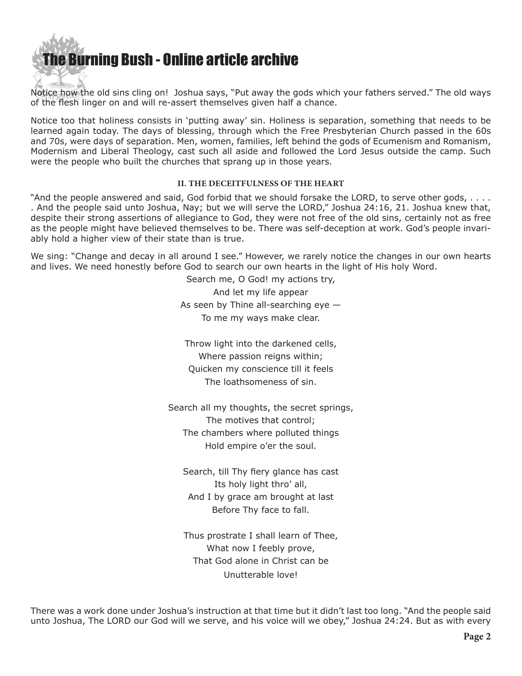

Notice how the old sins cling on! Joshua says, "Put away the gods which your fathers served." The old ways of the flesh linger on and will re-assert themselves given half a chance.

Notice too that holiness consists in 'putting away' sin. Holiness is separation, something that needs to be learned again today. The days of blessing, through which the Free Presbyterian Church passed in the 60s and 70s, were days of separation. Men, women, families, left behind the gods of Ecumenism and Romanism, Modernism and Liberal Theology, cast such all aside and followed the Lord Jesus outside the camp. Such were the people who built the churches that sprang up in those years.

## **II. THE DECEITFULNESS OF THE HEART**

"And the people answered and said, God forbid that we should forsake the LORD, to serve other gods, . . . . . And the people said unto Joshua, Nay; but we will serve the LORD," Joshua 24:16, 21. Joshua knew that, despite their strong assertions of allegiance to God, they were not free of the old sins, certainly not as free as the people might have believed themselves to be. There was self-deception at work. God's people invariably hold a higher view of their state than is true.

We sing: "Change and decay in all around I see." However, we rarely notice the changes in our own hearts and lives. We need honestly before God to search our own hearts in the light of His holy Word.

> Search me, O God! my actions try, And let my life appear As seen by Thine all-searching eye — To me my ways make clear.

Throw light into the darkened cells, Where passion reigns within; Quicken my conscience till it feels The loathsomeness of sin.

Search all my thoughts, the secret springs, The motives that control; The chambers where polluted things Hold empire o'er the soul.

Search, till Thy fiery glance has cast Its holy light thro' all, And I by grace am brought at last Before Thy face to fall.

Thus prostrate I shall learn of Thee, What now I feebly prove, That God alone in Christ can be Unutterable love!

There was a work done under Joshua's instruction at that time but it didn't last too long. "And the people said unto Joshua, The LORD our God will we serve, and his voice will we obey," Joshua 24:24. But as with every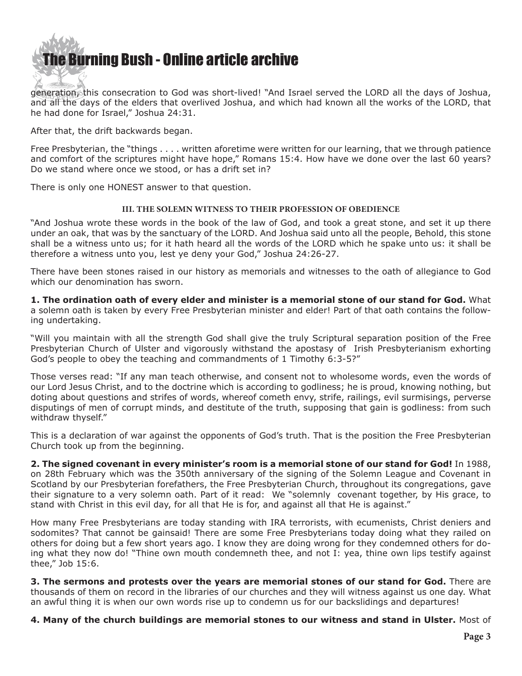

generation, this consecration to God was short-lived! "And Israel served the LORD all the days of Joshua, and all the days of the elders that overlived Joshua, and which had known all the works of the LORD, that he had done for Israel," Joshua 24:31.

After that, the drift backwards began.

Free Presbyterian, the "things . . . . written aforetime were written for our learning, that we through patience and comfort of the scriptures might have hope," Romans 15:4. How have we done over the last 60 years? Do we stand where once we stood, or has a drift set in?

There is only one HONEST answer to that question.

### **III. THE SOLEMN WITNESS TO THEIR PROFESSION OF OBEDIENCE**

"And Joshua wrote these words in the book of the law of God, and took a great stone, and set it up there under an oak, that was by the sanctuary of the LORD. And Joshua said unto all the people, Behold, this stone shall be a witness unto us; for it hath heard all the words of the LORD which he spake unto us: it shall be therefore a witness unto you, lest ye deny your God," Joshua 24:26-27.

There have been stones raised in our history as memorials and witnesses to the oath of allegiance to God which our denomination has sworn.

**1. The ordination oath of every elder and minister is a memorial stone of our stand for God.** What a solemn oath is taken by every Free Presbyterian minister and elder! Part of that oath contains the following undertaking.

"Will you maintain with all the strength God shall give the truly Scriptural separation position of the Free Presbyterian Church of Ulster and vigorously withstand the apostasy of Irish Presbyterianism exhorting God's people to obey the teaching and commandments of 1 Timothy 6:3-5?"

Those verses read: "If any man teach otherwise, and consent not to wholesome words, even the words of our Lord Jesus Christ, and to the doctrine which is according to godliness; he is proud, knowing nothing, but doting about questions and strifes of words, whereof cometh envy, strife, railings, evil surmisings, perverse disputings of men of corrupt minds, and destitute of the truth, supposing that gain is godliness: from such withdraw thyself."

This is a declaration of war against the opponents of God's truth. That is the position the Free Presbyterian Church took up from the beginning.

**2. The signed covenant in every minister's room is a memorial stone of our stand for God!** In 1988, on 28th February which was the 350th anniversary of the signing of the Solemn League and Covenant in Scotland by our Presbyterian forefathers, the Free Presbyterian Church, throughout its congregations, gave their signature to a very solemn oath. Part of it read: We "solemnly covenant together, by His grace, to stand with Christ in this evil day, for all that He is for, and against all that He is against."

How many Free Presbyterians are today standing with IRA terrorists, with ecumenists, Christ deniers and sodomites? That cannot be gainsaid! There are some Free Presbyterians today doing what they railed on others for doing but a few short years ago. I know they are doing wrong for they condemned others for doing what they now do! "Thine own mouth condemneth thee, and not I: yea, thine own lips testify against thee," Job  $15:6$ .

**3. The sermons and protests over the years are memorial stones of our stand for God.** There are thousands of them on record in the libraries of our churches and they will witness against us one day. What an awful thing it is when our own words rise up to condemn us for our backslidings and departures!

**4. Many of the church buildings are memorial stones to our witness and stand in Ulster.** Most of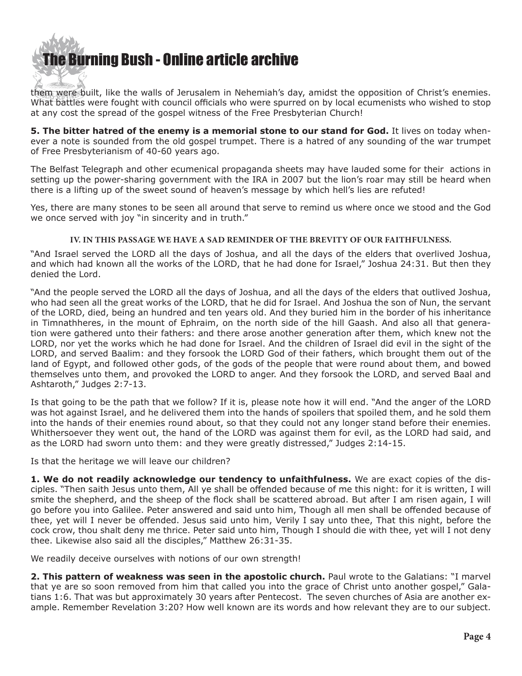

them were built, like the walls of Jerusalem in Nehemiah's day, amidst the opposition of Christ's enemies. What battles were fought with council officials who were spurred on by local ecumenists who wished to stop at any cost the spread of the gospel witness of the Free Presbyterian Church!

**5. The bitter hatred of the enemy is a memorial stone to our stand for God.** It lives on today whenever a note is sounded from the old gospel trumpet. There is a hatred of any sounding of the war trumpet of Free Presbyterianism of 40-60 years ago.

The Belfast Telegraph and other ecumenical propaganda sheets may have lauded some for their actions in setting up the power-sharing government with the IRA in 2007 but the lion's roar may still be heard when there is a lifting up of the sweet sound of heaven's message by which hell's lies are refuted!

Yes, there are many stones to be seen all around that serve to remind us where once we stood and the God we once served with joy "in sincerity and in truth."

## **IV. IN THIS PASSAGE WE HAVE A SAD REMINDER OF THE BREVITY OF OUR FAITHFULNESS.**

"And Israel served the LORD all the days of Joshua, and all the days of the elders that overlived Joshua, and which had known all the works of the LORD, that he had done for Israel," Joshua 24:31. But then they denied the Lord.

"And the people served the LORD all the days of Joshua, and all the days of the elders that outlived Joshua, who had seen all the great works of the LORD, that he did for Israel. And Joshua the son of Nun, the servant of the LORD, died, being an hundred and ten years old. And they buried him in the border of his inheritance in Timnathheres, in the mount of Ephraim, on the north side of the hill Gaash. And also all that generation were gathered unto their fathers: and there arose another generation after them, which knew not the LORD, nor yet the works which he had done for Israel. And the children of Israel did evil in the sight of the LORD, and served Baalim: and they forsook the LORD God of their fathers, which brought them out of the land of Egypt, and followed other gods, of the gods of the people that were round about them, and bowed themselves unto them, and provoked the LORD to anger. And they forsook the LORD, and served Baal and Ashtaroth," Judges 2:7-13.

Is that going to be the path that we follow? If it is, please note how it will end. "And the anger of the LORD was hot against Israel, and he delivered them into the hands of spoilers that spoiled them, and he sold them into the hands of their enemies round about, so that they could not any longer stand before their enemies. Whithersoever they went out, the hand of the LORD was against them for evil, as the LORD had said, and as the LORD had sworn unto them: and they were greatly distressed," Judges 2:14-15.

Is that the heritage we will leave our children?

**1. We do not readily acknowledge our tendency to unfaithfulness.** We are exact copies of the disciples. "Then saith Jesus unto them, All ye shall be offended because of me this night: for it is written, I will smite the shepherd, and the sheep of the flock shall be scattered abroad. But after I am risen again, I will go before you into Galilee. Peter answered and said unto him, Though all men shall be offended because of thee, yet will I never be offended. Jesus said unto him, Verily I say unto thee, That this night, before the cock crow, thou shalt deny me thrice. Peter said unto him, Though I should die with thee, yet will I not deny thee. Likewise also said all the disciples," Matthew 26:31-35.

We readily deceive ourselves with notions of our own strength!

**2. This pattern of weakness was seen in the apostolic church.** Paul wrote to the Galatians: "I marvel that ye are so soon removed from him that called you into the grace of Christ unto another gospel," Galatians 1:6. That was but approximately 30 years after Pentecost. The seven churches of Asia are another example. Remember Revelation 3:20? How well known are its words and how relevant they are to our subject.